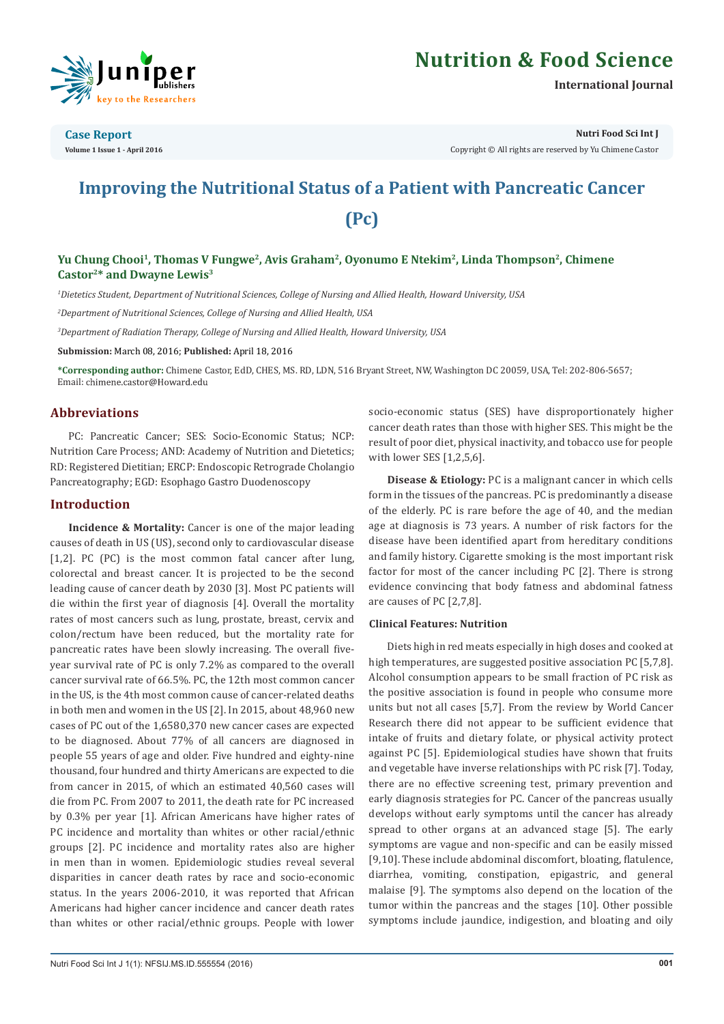

# **Nutrition & Food Science**

**International Journal**

**Case Report Volume 1 Issue 1 - April 2016** **Nutri Food Sci Int J**

Copyright © All rights are reserved by Yu Chimene Castor

# **Improving the Nutritional Status of a Patient with Pancreatic Cancer (Pc)**

# Yu Chung Chooi<sup>1</sup>, Thomas V Fungwe<sup>2</sup>, Avis Graham<sup>2</sup>, Oyonumo E Ntekim<sup>2</sup>, Linda Thompson<sup>2</sup>, Chimene **Castor2\* and Dwayne Lewis3**

*1 Dietetics Student, Department of Nutritional Sciences, College of Nursing and Allied Health, Howard University, USA*

*2 Department of Nutritional Sciences, College of Nursing and Allied Health, USA*

*3 Department of Radiation Therapy, College of Nursing and Allied Health, Howard University, USA*

**Submission:** March 08, 2016; **Published:** April 18, 2016

**\*Corresponding author:** Chimene Castor, EdD, CHES, MS. RD, LDN, 516 Bryant Street, NW, Washington DC 20059, USA, Tel: 202-806-5657; Email: chimene.castor@Howard.edu

### **Abbreviations**

PC: Pancreatic Cancer; SES: Socio-Economic Status; NCP: Nutrition Care Process; AND: Academy of Nutrition and Dietetics; RD: Registered Dietitian; ERCP: Endoscopic Retrograde Cholangio Pancreatography; EGD: Esophago Gastro Duodenoscopy

### **Introduction**

**Incidence & Mortality:** Cancer is one of the major leading causes of death in US (US), second only to cardiovascular disease [1,2]. PC (PC) is the most common fatal cancer after lung, colorectal and breast cancer. It is projected to be the second leading cause of cancer death by 2030 [3]. Most PC patients will die within the first year of diagnosis [4]. Overall the mortality rates of most cancers such as lung, prostate, breast, cervix and colon/rectum have been reduced, but the mortality rate for pancreatic rates have been slowly increasing. The overall fiveyear survival rate of PC is only 7.2% as compared to the overall cancer survival rate of 66.5%. PC, the 12th most common cancer in the US, is the 4th most common cause of cancer-related deaths in both men and women in the US [2]. In 2015, about 48,960 new cases of PC out of the 1,6580,370 new cancer cases are expected to be diagnosed. About 77% of all cancers are diagnosed in people 55 years of age and older. Five hundred and eighty-nine thousand, four hundred and thirty Americans are expected to die from cancer in 2015, of which an estimated 40,560 cases will die from PC. From 2007 to 2011, the death rate for PC increased by 0.3% per year [1]. African Americans have higher rates of PC incidence and mortality than whites or other racial/ethnic groups [2]. PC incidence and mortality rates also are higher in men than in women. Epidemiologic studies reveal several disparities in cancer death rates by race and socio-economic status. In the years 2006-2010, it was reported that African Americans had higher cancer incidence and cancer death rates than whites or other racial/ethnic groups. People with lower

socio-economic status (SES) have disproportionately higher cancer death rates than those with higher SES. This might be the result of poor diet, physical inactivity, and tobacco use for people with lower SES [1,2,5,6].

**Disease & Etiology:** PC is a malignant cancer in which cells form in the tissues of the pancreas. PC is predominantly a disease of the elderly. PC is rare before the age of 40, and the median age at diagnosis is 73 years. A number of risk factors for the disease have been identified apart from hereditary conditions and family history. Cigarette smoking is the most important risk factor for most of the cancer including PC [2]. There is strong evidence convincing that body fatness and abdominal fatness are causes of PC [2,7,8].

#### **Clinical Features: Nutrition**

Diets high in red meats especially in high doses and cooked at high temperatures, are suggested positive association PC [5,7,8]. Alcohol consumption appears to be small fraction of PC risk as the positive association is found in people who consume more units but not all cases [5,7]. From the review by World Cancer Research there did not appear to be sufficient evidence that intake of fruits and dietary folate, or physical activity protect against PC [5]. Epidemiological studies have shown that fruits and vegetable have inverse relationships with PC risk [7]. Today, there are no effective screening test, primary prevention and early diagnosis strategies for PC. Cancer of the pancreas usually develops without early symptoms until the cancer has already spread to other organs at an advanced stage [5]. The early symptoms are vague and non-specific and can be easily missed [9,10]. These include abdominal discomfort, bloating, flatulence, diarrhea, vomiting, constipation, epigastric, and general malaise [9]. The symptoms also depend on the location of the tumor within the pancreas and the stages [10]. Other possible symptoms include jaundice, indigestion, and bloating and oily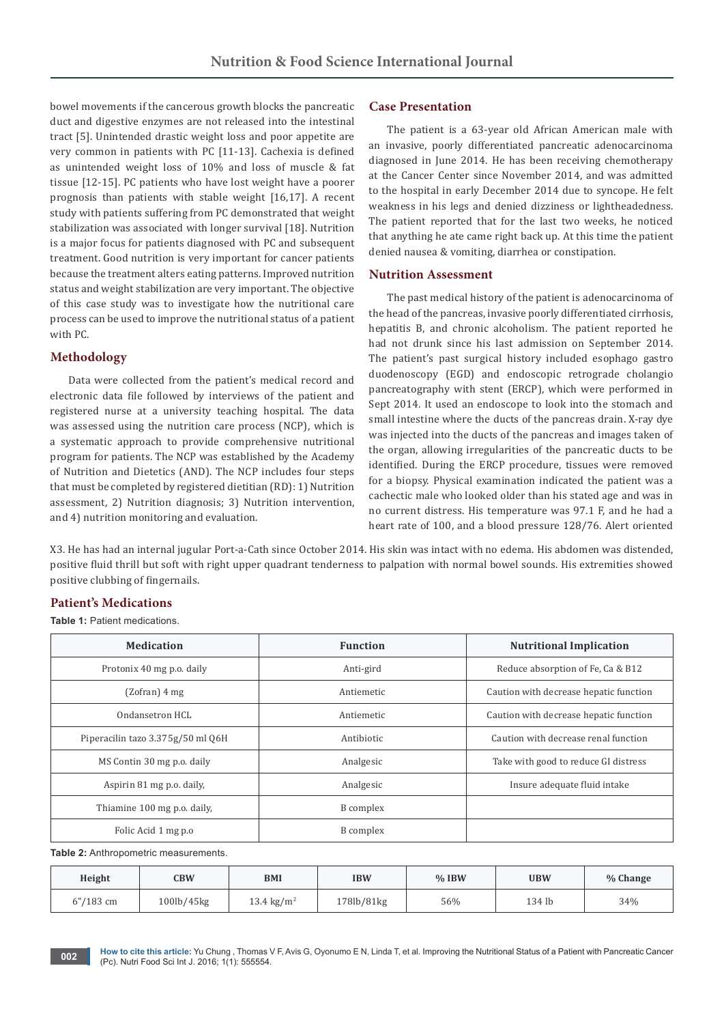bowel movements if the cancerous growth blocks the pancreatic duct and digestive enzymes are not released into the intestinal tract [5]. Unintended drastic weight loss and poor appetite are very common in patients with PC [11-13]. Cachexia is defined as unintended weight loss of 10% and loss of muscle & fat tissue [12-15]. PC patients who have lost weight have a poorer prognosis than patients with stable weight [16,17]. A recent study with patients suffering from PC demonstrated that weight stabilization was associated with longer survival [18]. Nutrition is a major focus for patients diagnosed with PC and subsequent treatment. Good nutrition is very important for cancer patients because the treatment alters eating patterns. Improved nutrition status and weight stabilization are very important. The objective of this case study was to investigate how the nutritional care process can be used to improve the nutritional status of a patient with PC.

## **Methodology**

Data were collected from the patient's medical record and electronic data file followed by interviews of the patient and registered nurse at a university teaching hospital. The data was assessed using the nutrition care process (NCP), which is a systematic approach to provide comprehensive nutritional program for patients. The NCP was established by the Academy of Nutrition and Dietetics (AND). The NCP includes four steps that must be completed by registered dietitian (RD): 1) Nutrition assessment, 2) Nutrition diagnosis; 3) Nutrition intervention, and 4) nutrition monitoring and evaluation.

## **Case Presentation**

The patient is a 63-year old African American male with an invasive, poorly differentiated pancreatic adenocarcinoma diagnosed in June 2014. He has been receiving chemotherapy at the Cancer Center since November 2014, and was admitted to the hospital in early December 2014 due to syncope. He felt weakness in his legs and denied dizziness or lightheadedness. The patient reported that for the last two weeks, he noticed that anything he ate came right back up. At this time the patient denied nausea & vomiting, diarrhea or constipation.

#### **Nutrition Assessment**

The past medical history of the patient is adenocarcinoma of the head of the pancreas, invasive poorly differentiated cirrhosis, hepatitis B, and chronic alcoholism. The patient reported he had not drunk since his last admission on September 2014. The patient's past surgical history included esophago gastro duodenoscopy (EGD) and endoscopic retrograde cholangio pancreatography with stent (ERCP), which were performed in Sept 2014. It used an endoscope to look into the stomach and small intestine where the ducts of the pancreas drain. X-ray dye was injected into the ducts of the pancreas and images taken of the organ, allowing irregularities of the pancreatic ducts to be identified. During the ERCP procedure, tissues were removed for a biopsy. Physical examination indicated the patient was a cachectic male who looked older than his stated age and was in no current distress. His temperature was 97.1 F, and he had a heart rate of 100, and a blood pressure 128/76. Alert oriented

X3. He has had an internal jugular Port-a-Cath since October 2014. His skin was intact with no edema. His abdomen was distended, positive fluid thrill but soft with right upper quadrant tenderness to palpation with normal bowel sounds. His extremities showed positive clubbing of fingernails.

# **Patient's Medications**

**Table 1:** Patient medications.

| <b>Medication</b>                 | <b>Function</b> | <b>Nutritional Implication</b>         |  |
|-----------------------------------|-----------------|----------------------------------------|--|
| Protonix 40 mg p.o. daily         | Anti-gird       | Reduce absorption of Fe, Ca & B12      |  |
| (Zofran) 4 mg                     | Antiemetic      | Caution with decrease hepatic function |  |
| Ondansetron HCL                   | Antiemetic      | Caution with decrease hepatic function |  |
| Piperacilin tazo 3.375g/50 ml 06H | Antibiotic      | Caution with decrease renal function   |  |
| MS Contin 30 mg p.o. daily        | Analgesic       | Take with good to reduce GI distress   |  |
| Aspirin 81 mg p.o. daily,         | Analgesic       | Insure adequate fluid intake           |  |
| Thiamine 100 mg p.o. daily,       | B complex       |                                        |  |
| Folic Acid 1 mg p.o.              | B complex       |                                        |  |

**Table 2:** Anthropometric measurements.

| Height       | <b>CBW</b> | <b>BMI</b>             | <b>IBW</b> | $%$ IBW | <b>UBW</b> | % Change |
|--------------|------------|------------------------|------------|---------|------------|----------|
| $5''/183$ cm | 100lb/45kg | 13.4 kg/m <sup>2</sup> | 178lb/81kg | 56%     | 134 lb     | 34%      |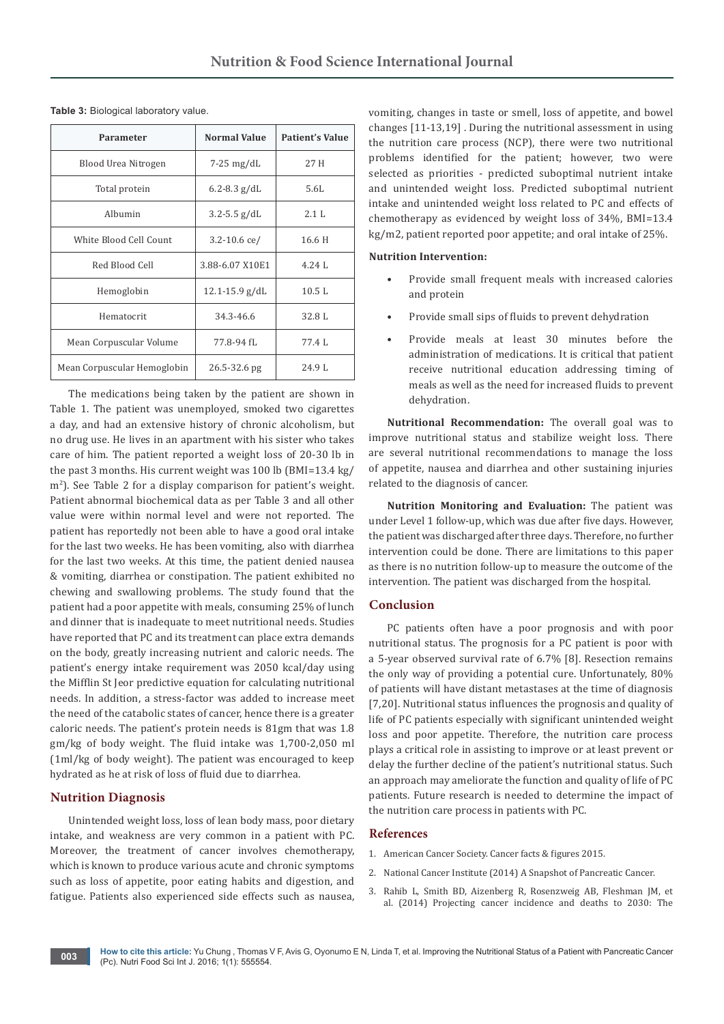| Parameter                   | <b>Normal Value</b> | <b>Patient's Value</b> |  |
|-----------------------------|---------------------|------------------------|--|
| Blood Urea Nitrogen         | $7-25$ mg/dL        | 27 H                   |  |
| Total protein               | $6.2 - 8.3$ g/dL    | 5.6L                   |  |
| Albumin                     | $3.2 - 5.5$ g/dL    | 2.1 L                  |  |
| White Blood Cell Count      | $3.2 - 10.6$ ce/    | 16.6 H                 |  |
| Red Blood Cell              | 3.88-6.07 X10E1     | 4.24L                  |  |
| Hemoglobin                  | $12.1 - 15.9$ g/dL  | 10.5L                  |  |
| Hematocrit                  | 34.3-46.6           | 32.8L                  |  |
| Mean Corpuscular Volume     | 77.8-94 fL          | 77.4L                  |  |
| Mean Corpuscular Hemoglobin | 26.5-32.6 pg        | 24.9 L                 |  |

**Table 3:** Biological laboratory value.

The medications being taken by the patient are shown in Table 1. The patient was unemployed, smoked two cigarettes a day, and had an extensive history of chronic alcoholism, but no drug use. He lives in an apartment with his sister who takes care of him. The patient reported a weight loss of 20-30 lb in the past 3 months. His current weight was 100 lb (BMI=13.4 kg/ m<sup>2</sup> ). See Table 2 for a display comparison for patient's weight. Patient abnormal biochemical data as per Table 3 and all other value were within normal level and were not reported. The patient has reportedly not been able to have a good oral intake for the last two weeks. He has been vomiting, also with diarrhea for the last two weeks. At this time, the patient denied nausea & vomiting, diarrhea or constipation. The patient exhibited no chewing and swallowing problems. The study found that the patient had a poor appetite with meals, consuming 25% of lunch and dinner that is inadequate to meet nutritional needs. Studies have reported that PC and its treatment can place extra demands on the body, greatly increasing nutrient and caloric needs. The patient's energy intake requirement was 2050 kcal/day using the Mifflin St Jeor predictive equation for calculating nutritional needs. In addition, a stress-factor was added to increase meet the need of the catabolic states of cancer, hence there is a greater caloric needs. The patient's protein needs is 81gm that was 1.8 gm/kg of body weight. The fluid intake was 1,700-2,050 ml (1ml/kg of body weight). The patient was encouraged to keep hydrated as he at risk of loss of fluid due to diarrhea.

#### **Nutrition Diagnosis**

Unintended weight loss, loss of lean body mass, poor dietary intake, and weakness are very common in a patient with PC. Moreover, the treatment of cancer involves chemotherapy, which is known to produce various acute and chronic symptoms such as loss of appetite, poor eating habits and digestion, and fatigue. Patients also experienced side effects such as nausea, vomiting, changes in taste or smell, loss of appetite, and bowel changes [11-13,19] . During the nutritional assessment in using the nutrition care process (NCP), there were two nutritional problems identified for the patient; however, two were selected as priorities - predicted suboptimal nutrient intake and unintended weight loss. Predicted suboptimal nutrient intake and unintended weight loss related to PC and effects of chemotherapy as evidenced by weight loss of 34%, BMI=13.4 kg/m2, patient reported poor appetite; and oral intake of 25%.

#### **Nutrition Intervention:**

- Provide small frequent meals with increased calories and protein
- Provide small sips of fluids to prevent dehydration
- Provide meals at least 30 minutes before the administration of medications. It is critical that patient receive nutritional education addressing timing of meals as well as the need for increased fluids to prevent dehydration.

**Nutritional Recommendation:** The overall goal was to improve nutritional status and stabilize weight loss. There are several nutritional recommendations to manage the loss of appetite, nausea and diarrhea and other sustaining injuries related to the diagnosis of cancer.

**Nutrition Monitoring and Evaluation:** The patient was under Level 1 follow-up, which was due after five days. However, the patient was discharged after three days. Therefore, no further intervention could be done. There are limitations to this paper as there is no nutrition follow-up to measure the outcome of the intervention. The patient was discharged from the hospital.

## **Conclusion**

PC patients often have a poor prognosis and with poor nutritional status. The prognosis for a PC patient is poor with a 5-year observed survival rate of 6.7% [8]. Resection remains the only way of providing a potential cure. Unfortunately, 80% of patients will have distant metastases at the time of diagnosis [7,20]. Nutritional status influences the prognosis and quality of life of PC patients especially with significant unintended weight loss and poor appetite. Therefore, the nutrition care process plays a critical role in assisting to improve or at least prevent or delay the further decline of the patient's nutritional status. Such an approach may ameliorate the function and quality of life of PC patients. Future research is needed to determine the impact of the nutrition care process in patients with PC.

## **References**

- 1. [American Cancer Society. Cancer facts & figures 2015.](http://www.cancer.org/acs/groups/content/@editorial/documents/document/acspc-044552.pdf)
- 2. [National Cancer Institute \(2014\) A Snapshot of Pancreatic Cancer.](http://www.cancer.gov/research/progress/snapshots/pancreatic)
- 3. [Rahib L, Smith BD, Aizenberg R, Rosenzweig AB, Fleshman JM, et](http://www.ncbi.nlm.nih.gov/pubmed/24840647)  [al. \(2014\) Projecting cancer incidence and deaths to 2030: The](http://www.ncbi.nlm.nih.gov/pubmed/24840647)